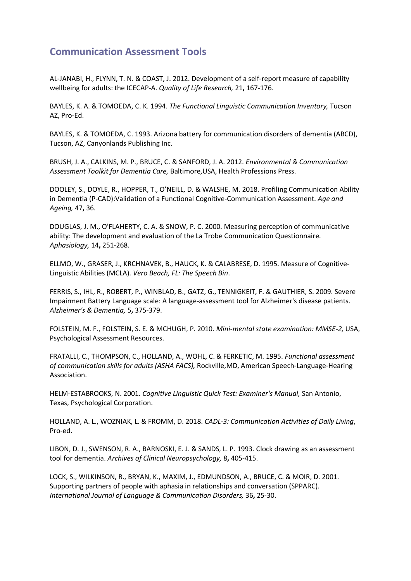## **Communication Assessment Tools**

AL-JANABI, H., FLYNN, T. N. & COAST, J. 2012. Development of a self-report measure of capability wellbeing for adults: the ICECAP-A. *Quality of Life Research,* 21**,** 167-176.

BAYLES, K. A. & TOMOEDA, C. K. 1994. *The Functional Linguistic Communication Inventory,* Tucson AZ, Pro-Ed.

BAYLES, K. & TOMOEDA, C. 1993. Arizona battery for communication disorders of dementia (ABCD), Tucson, AZ, Canyonlands Publishing Inc.

BRUSH, J. A., CALKINS, M. P., BRUCE, C. & SANFORD, J. A. 2012. *Environmental & Communication Assessment Toolkit for Dementia Care,* Baltimore,USA, Health Professions Press.

DOOLEY, S., DOYLE, R., HOPPER, T., O'NEILL, D. & WALSHE, M. 2018. Profiling Communication Ability in Dementia (P-CAD):Validation of a Functional Cognitive-Communication Assessment. *Age and Ageing,* 47**,** 36.

DOUGLAS, J. M., O'FLAHERTY, C. A. & SNOW, P. C. 2000. Measuring perception of communicative ability: The development and evaluation of the La Trobe Communication Questionnaire. *Aphasiology,* 14**,** 251-268.

ELLMO, W., GRASER, J., KRCHNAVEK, B., HAUCK, K. & CALABRESE, D. 1995. Measure of Cognitive-Linguistic Abilities (MCLA). *Vero Beach, FL: The Speech Bin*.

FERRIS, S., IHL, R., ROBERT, P., WINBLAD, B., GATZ, G., TENNIGKEIT, F. & GAUTHIER, S. 2009. Severe Impairment Battery Language scale: A language-assessment tool for Alzheimer's disease patients. *Alzheimer's & Dementia,* 5**,** 375-379.

FOLSTEIN, M. F., FOLSTEIN, S. E. & MCHUGH, P. 2010. *Mini-mental state examination: MMSE-2,* USA, Psychological Assessment Resources.

FRATALLI, C., THOMPSON, C., HOLLAND, A., WOHL, C. & FERKETIC, M. 1995. *Functional assessment of communication skills for adults (ASHA FACS),* Rockville,MD, American Speech-Language-Hearing Association.

HELM-ESTABROOKS, N. 2001. *Cognitive Linguistic Quick Test: Examiner's Manual,* San Antonio, Texas, Psychological Corporation.

HOLLAND, A. L., WOZNIAK, L. & FROMM, D. 2018. *CADL-3: Communication Activities of Daily Living*, Pro-ed.

LIBON, D. J., SWENSON, R. A., BARNOSKI, E. J. & SANDS, L. P. 1993. Clock drawing as an assessment tool for dementia. *Archives of Clinical Neuropsychology,* 8**,** 405-415.

LOCK, S., WILKINSON, R., BRYAN, K., MAXIM, J., EDMUNDSON, A., BRUCE, C. & MOIR, D. 2001. Supporting partners of people with aphasia in relationships and conversation (SPPARC). *International Journal of Language & Communication Disorders,* 36**,** 25-30.